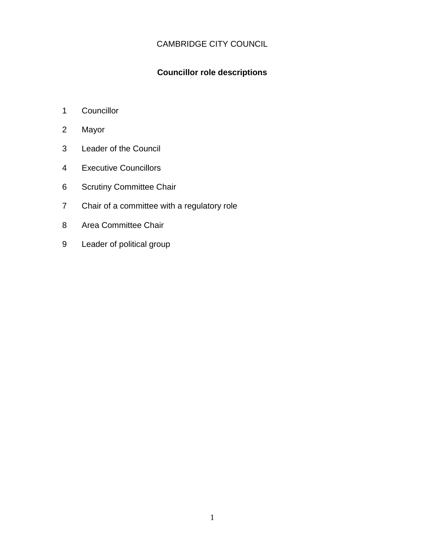# CAMBRIDGE CITY COUNCIL

## **Councillor role descriptions**

- 1 Councillor
- 2 Mayor
- 3 Leader of the Council
- 4 Executive Councillors
- 6 Scrutiny Committee Chair
- 7 Chair of a committee with a regulatory role
- 8 Area Committee Chair
- 9 Leader of political group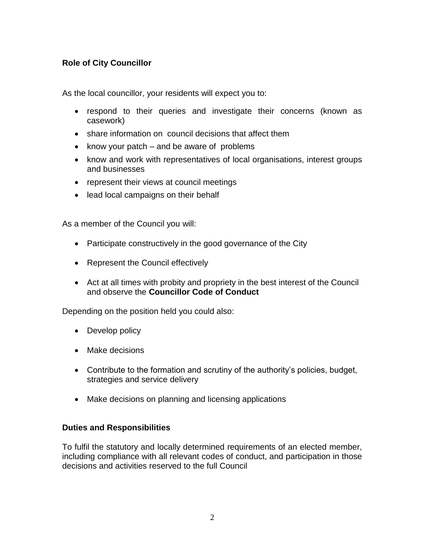## **Role of City Councillor**

As the local councillor, your residents will expect you to:

- respond to their queries and investigate their concerns (known as casework)
- share information on council decisions that affect them
- know your patch  $-$  and be aware of problems
- know and work with representatives of local organisations, interest groups and businesses
- represent their views at council meetings
- lead local campaigns on their behalf

As a member of the Council you will:

- Participate constructively in the good governance of the City
- Represent the Council effectively
- Act at all times with probity and propriety in the best interest of the Council and observe the **Councillor Code of Conduct**

Depending on the position held you could also:

- Develop policy
- Make decisions
- Contribute to the formation and scrutiny of the authority's policies, budget, strategies and service delivery
- Make decisions on planning and licensing applications

## **Duties and Responsibilities**

To fulfil the statutory and locally determined requirements of an elected member, including compliance with all relevant codes of conduct, and participation in those decisions and activities reserved to the full Council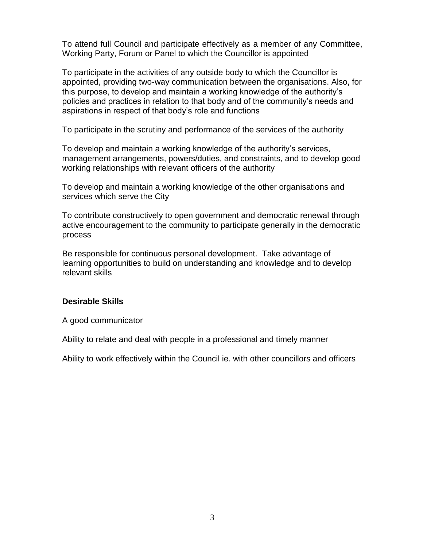To attend full Council and participate effectively as a member of any Committee, Working Party, Forum or Panel to which the Councillor is appointed

To participate in the activities of any outside body to which the Councillor is appointed, providing two-way communication between the organisations. Also, for this purpose, to develop and maintain a working knowledge of the authority's policies and practices in relation to that body and of the community's needs and aspirations in respect of that body's role and functions

To participate in the scrutiny and performance of the services of the authority

To develop and maintain a working knowledge of the authority's services, management arrangements, powers/duties, and constraints, and to develop good working relationships with relevant officers of the authority

To develop and maintain a working knowledge of the other organisations and services which serve the City

To contribute constructively to open government and democratic renewal through active encouragement to the community to participate generally in the democratic process

Be responsible for continuous personal development. Take advantage of learning opportunities to build on understanding and knowledge and to develop relevant skills

## **Desirable Skills**

A good communicator

Ability to relate and deal with people in a professional and timely manner

Ability to work effectively within the Council ie. with other councillors and officers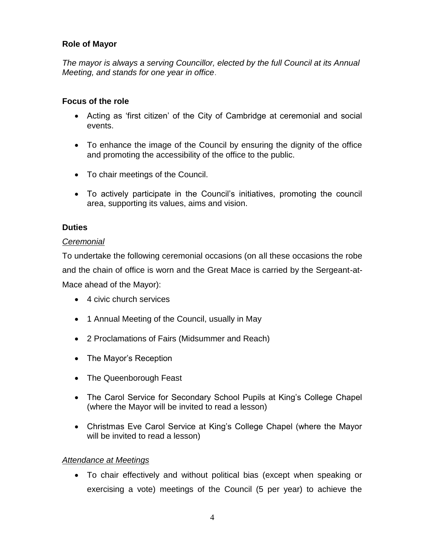## **Role of Mayor**

*The mayor is always a serving Councillor, elected by the full Council at its Annual Meeting, and stands for one year in office*.

## **Focus of the role**

- Acting as 'first citizen' of the City of Cambridge at ceremonial and social events.
- To enhance the image of the Council by ensuring the dignity of the office and promoting the accessibility of the office to the public.
- To chair meetings of the Council.
- To actively participate in the Council's initiatives, promoting the council area, supporting its values, aims and vision.

## **Duties**

## *Ceremonial*

To undertake the following ceremonial occasions (on all these occasions the robe and the chain of office is worn and the Great Mace is carried by the Sergeant-at-Mace ahead of the Mayor):

- 4 civic church services
- 1 Annual Meeting of the Council, usually in May
- 2 Proclamations of Fairs (Midsummer and Reach)
- The Mayor's Reception
- The Queenborough Feast
- The Carol Service for Secondary School Pupils at King's College Chapel (where the Mayor will be invited to read a lesson)
- Christmas Eve Carol Service at King's College Chapel (where the Mayor will be invited to read a lesson)

## *Attendance at Meetings*

 To chair effectively and without political bias (except when speaking or exercising a vote) meetings of the Council (5 per year) to achieve the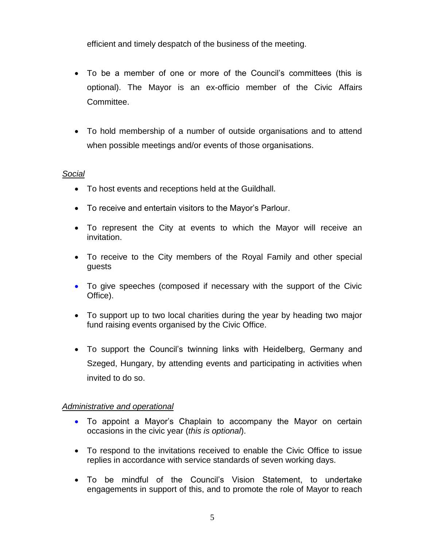efficient and timely despatch of the business of the meeting.

- To be a member of one or more of the Council's committees (this is optional). The Mayor is an ex-officio member of the Civic Affairs Committee.
- To hold membership of a number of outside organisations and to attend when possible meetings and/or events of those organisations.

## *Social*

- To host events and receptions held at the Guildhall.
- To receive and entertain visitors to the Mayor's Parlour.
- To represent the City at events to which the Mayor will receive an invitation.
- To receive to the City members of the Royal Family and other special guests
- To give speeches (composed if necessary with the support of the Civic Office).
- To support up to two local charities during the year by heading two major fund raising events organised by the Civic Office.
- To support the Council's twinning links with Heidelberg, Germany and Szeged, Hungary, by attending events and participating in activities when invited to do so.

## *Administrative and operational*

- To appoint a Mayor's Chaplain to accompany the Mayor on certain occasions in the civic year (*this is optional*).
- To respond to the invitations received to enable the Civic Office to issue replies in accordance with service standards of seven working days.
- To be mindful of the Council's Vision Statement, to undertake engagements in support of this, and to promote the role of Mayor to reach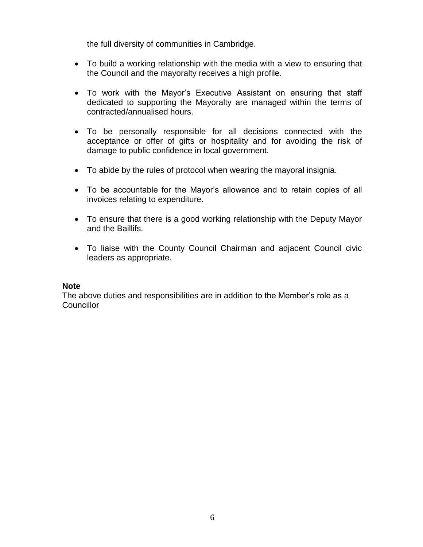the full diversity of communities in Cambridge.

- To build a working relationship with the media with a view to ensuring that the Council and the mayoralty receives a high profile.
- To work with the Mayor's Executive Assistant on ensuring that staff dedicated to supporting the Mayoralty are managed within the terms of contracted/annualised hours.
- To be personally responsible for all decisions connected with the acceptance or offer of gifts or hospitality and for avoiding the risk of damage to public confidence in local government.
- To abide by the rules of protocol when wearing the mayoral insignia.
- To be accountable for the Mayor's allowance and to retain copies of all invoices relating to expenditure.
- To ensure that there is a good working relationship with the Deputy Mayor and the Baillifs.
- To liaise with the County Council Chairman and adjacent Council civic leaders as appropriate.

## **Note**

The above duties and responsibilities are in addition to the Member's role as a **Councillor**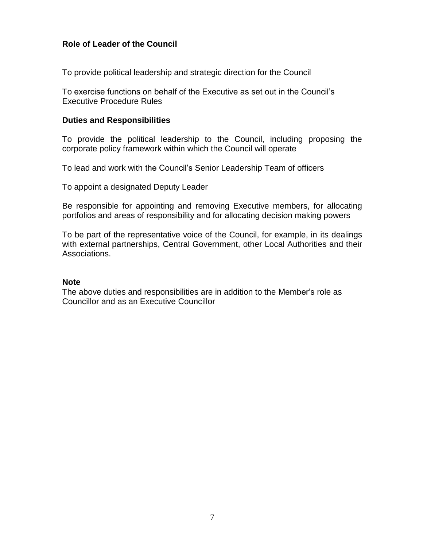## **Role of Leader of the Council**

To provide political leadership and strategic direction for the Council

To exercise functions on behalf of the Executive as set out in the Council's Executive Procedure Rules

#### **Duties and Responsibilities**

To provide the political leadership to the Council, including proposing the corporate policy framework within which the Council will operate

To lead and work with the Council's Senior Leadership Team of officers

To appoint a designated Deputy Leader

Be responsible for appointing and removing Executive members, for allocating portfolios and areas of responsibility and for allocating decision making powers

To be part of the representative voice of the Council, for example, in its dealings with external partnerships, Central Government, other Local Authorities and their Associations.

#### **Note**

The above duties and responsibilities are in addition to the Member's role as Councillor and as an Executive Councillor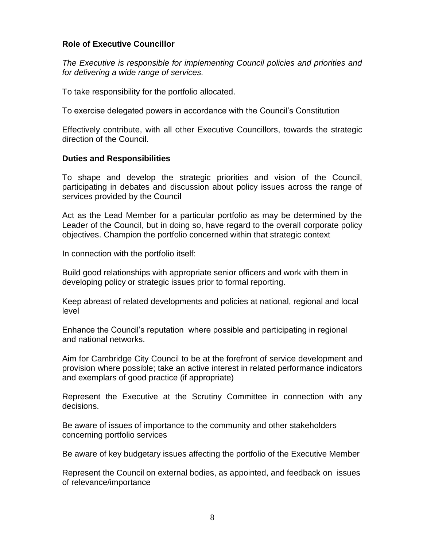## **Role of Executive Councillor**

*The Executive is responsible for implementing Council policies and priorities and for delivering a wide range of services.*

To take responsibility for the portfolio allocated.

To exercise delegated powers in accordance with the Council's Constitution

Effectively contribute, with all other Executive Councillors, towards the strategic direction of the Council.

## **Duties and Responsibilities**

To shape and develop the strategic priorities and vision of the Council, participating in debates and discussion about policy issues across the range of services provided by the Council

Act as the Lead Member for a particular portfolio as may be determined by the Leader of the Council, but in doing so, have regard to the overall corporate policy objectives. Champion the portfolio concerned within that strategic context

In connection with the portfolio itself:

Build good relationships with appropriate senior officers and work with them in developing policy or strategic issues prior to formal reporting.

Keep abreast of related developments and policies at national, regional and local level

Enhance the Council's reputation where possible and participating in regional and national networks.

Aim for Cambridge City Council to be at the forefront of service development and provision where possible; take an active interest in related performance indicators and exemplars of good practice (if appropriate)

Represent the Executive at the Scrutiny Committee in connection with any decisions.

Be aware of issues of importance to the community and other stakeholders concerning portfolio services

Be aware of key budgetary issues affecting the portfolio of the Executive Member

Represent the Council on external bodies, as appointed, and feedback on issues of relevance/importance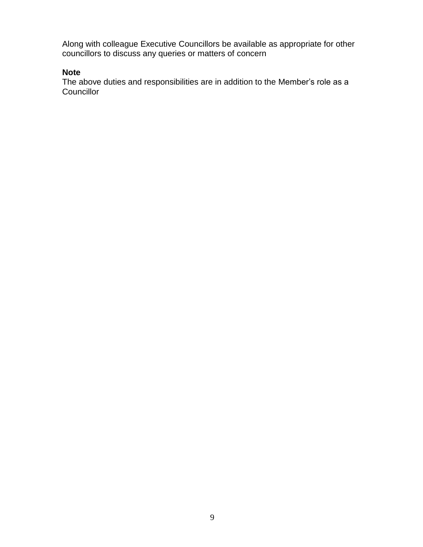Along with colleague Executive Councillors be available as appropriate for other councillors to discuss any queries or matters of concern

## **Note**

The above duties and responsibilities are in addition to the Member's role as a **Councillor**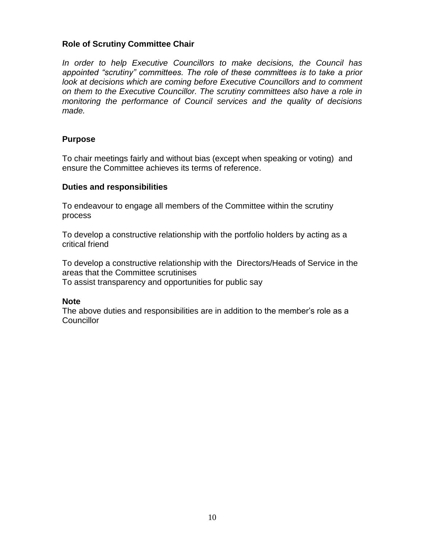## **Role of Scrutiny Committee Chair**

*In order to help Executive Councillors to make decisions, the Council has appointed "scrutiny" committees. The role of these committees is to take a prior look at decisions which are coming before Executive Councillors and to comment on them to the Executive Councillor. The scrutiny committees also have a role in monitoring the performance of Council services and the quality of decisions made.* 

#### **Purpose**

To chair meetings fairly and without bias (except when speaking or voting) and ensure the Committee achieves its terms of reference.

#### **Duties and responsibilities**

To endeavour to engage all members of the Committee within the scrutiny process

To develop a constructive relationship with the portfolio holders by acting as a critical friend

To develop a constructive relationship with the Directors/Heads of Service in the areas that the Committee scrutinises To assist transparency and opportunities for public say

#### **Note**

The above duties and responsibilities are in addition to the member's role as a **Councillor**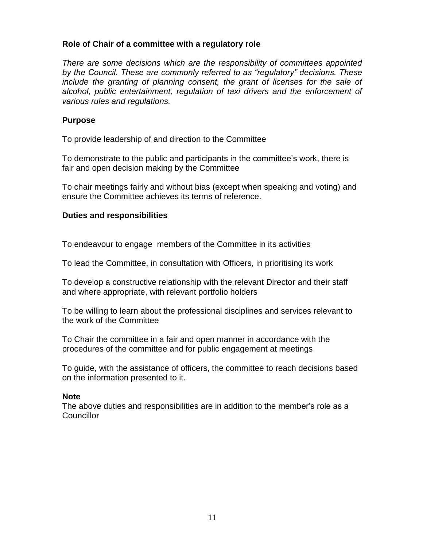#### **Role of Chair of a committee with a regulatory role**

*There are some decisions which are the responsibility of committees appointed by the Council. These are commonly referred to as "regulatory" decisions. These include the granting of planning consent, the grant of licenses for the sale of alcohol, public entertainment, regulation of taxi drivers and the enforcement of various rules and regulations.*

#### **Purpose**

To provide leadership of and direction to the Committee

To demonstrate to the public and participants in the committee's work, there is fair and open decision making by the Committee

To chair meetings fairly and without bias (except when speaking and voting) and ensure the Committee achieves its terms of reference.

## **Duties and responsibilities**

To endeavour to engage members of the Committee in its activities

To lead the Committee, in consultation with Officers, in prioritising its work

To develop a constructive relationship with the relevant Director and their staff and where appropriate, with relevant portfolio holders

To be willing to learn about the professional disciplines and services relevant to the work of the Committee

To Chair the committee in a fair and open manner in accordance with the procedures of the committee and for public engagement at meetings

To guide, with the assistance of officers, the committee to reach decisions based on the information presented to it.

## **Note**

The above duties and responsibilities are in addition to the member's role as a **Councillor**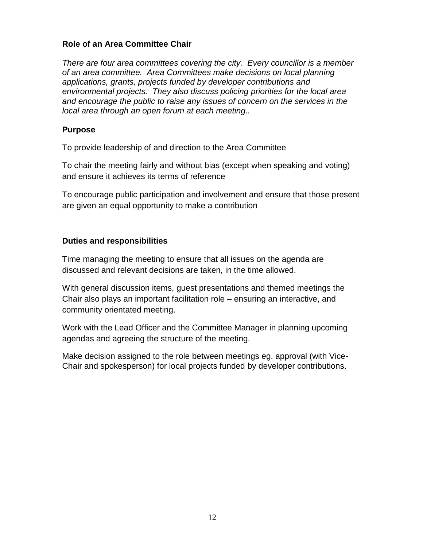## **Role of an Area Committee Chair**

*There are four area committees covering the city. Every councillor is a member of an area committee. Area Committees make decisions on local planning applications, grants, projects funded by developer contributions and environmental projects. They also discuss policing priorities for the local area and encourage the public to raise any issues of concern on the services in the local area through an open forum at each meeting..* 

## **Purpose**

To provide leadership of and direction to the Area Committee

To chair the meeting fairly and without bias (except when speaking and voting) and ensure it achieves its terms of reference

To encourage public participation and involvement and ensure that those present are given an equal opportunity to make a contribution

## **Duties and responsibilities**

Time managing the meeting to ensure that all issues on the agenda are discussed and relevant decisions are taken, in the time allowed.

With general discussion items, guest presentations and themed meetings the Chair also plays an important facilitation role – ensuring an interactive, and community orientated meeting.

Work with the Lead Officer and the Committee Manager in planning upcoming agendas and agreeing the structure of the meeting.

Make decision assigned to the role between meetings eg. approval (with Vice-Chair and spokesperson) for local projects funded by developer contributions.